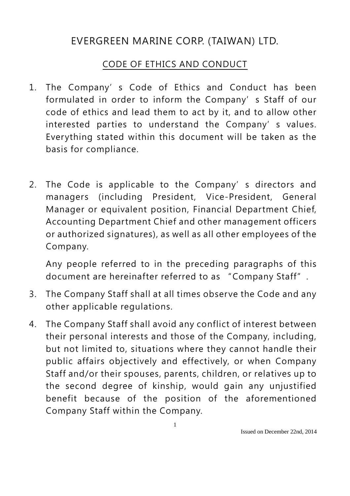## EVERGREEN MARINE CORP. (TAIWAN) LTD.

## CODE OF ETHICS AND CONDUCT

- 1. The Company's Code of Ethics and Conduct has been formulated in order to inform the Company's Staff of our code of ethics and lead them to act by it, and to allow other interested parties to understand the Company's values. Everything stated within this document will be taken as the basis for compliance.
- 2. The Code is applicable to the Company's directors and managers (including President, Vice-President, General Manager or equivalent position, Financial Department Chief, Accounting Department Chief and other management officers or authorized signatures), as well as all other employees of the Company.

Any people referred to in the preceding paragraphs of this document are hereinafter referred to as " Company Staff".

- 3. The Company Staff shall at all times observe the Code and any other applicable regulations.
- 4. The Company Staff shall avoid any conflict of interest between their personal interests and those of the Company, including, but not limited to, situations where they cannot handle their public affairs objectively and effectively, or when Company Staff and/or their spouses, parents, children, or relatives up to the second degree of kinship, would gain any unjustified benefit because of the position of the aforementioned Company Staff within the Company.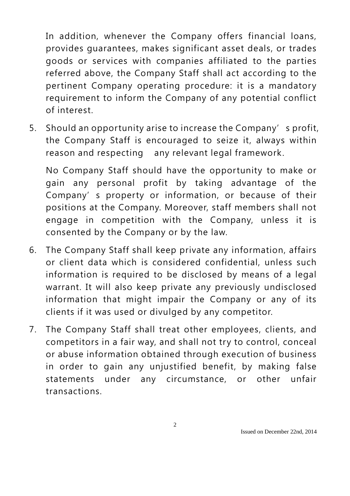In addition, whenever the Company offers financial loans, provides guarantees, makes significant asset deals, or trades goods or services with companies affiliated to the parties referred above, the Company Staff shall act according to the pertinent Company operating procedure: it is a mandatory requirement to inform the Company of any potential conflict of interest.

5. Should an opportunity arise to increase the Company's profit, the Company Staff is encouraged to seize it, always within reason and respecting any relevant legal framework.

No Company Staff should have the opportunity to make or gain any personal profit by taking advantage of the Company's property or information, or because of their positions at the Company. Moreover, staff members shall not engage in competition with the Company, unless it is consented by the Company or by the law.

- 6. The Company Staff shall keep private any information, affairs or client data which is considered confidential, unless such information is required to be disclosed by means of a legal warrant. It will also keep private any previously undisclosed information that might impair the Company or any of its clients if it was used or divulged by any competitor.
- 7. The Company Staff shall treat other employees, clients, and competitors in a fair way, and shall not try to control, conceal or abuse information obtained through execution of business in order to gain any unjustified benefit, by making false statements under any circumstance, or other unfair transactions.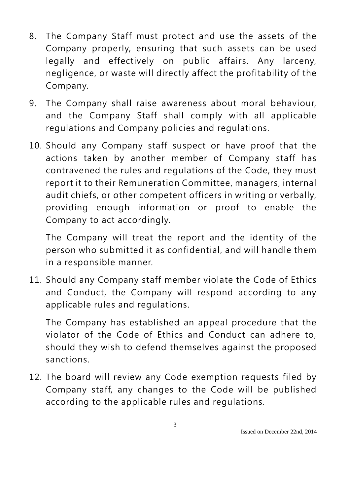- 8. The Company Staff must protect and use the assets of the Company properly, ensuring that such assets can be used legally and effectively on public affairs. Any larceny, negligence, or waste will directly affect the profitability of the Company.
- 9. The Company shall raise awareness about moral behaviour, and the Company Staff shall comply with all applicable regulations and Company policies and regulations.
- 10. Should any Company staff suspect or have proof that the actions taken by another member of Company staff has contravened the rules and regulations of the Code, they must report it to their Remuneration Committee, managers, internal audit chiefs, or other competent officers in writing or verbally, providing enough information or proof to enable the Company to act accordingly.

The Company will treat the report and the identity of the person who submitted it as confidential, and will handle them in a responsible manner.

11. Should any Company staff member violate the Code of Ethics and Conduct, the Company will respond according to any applicable rules and regulations.

The Company has established an appeal procedure that the violator of the Code of Ethics and Conduct can adhere to, should they wish to defend themselves against the proposed sanctions.

12. The board will review any Code exemption requests filed by Company staff, any changes to the Code will be published according to the applicable rules and regulations.